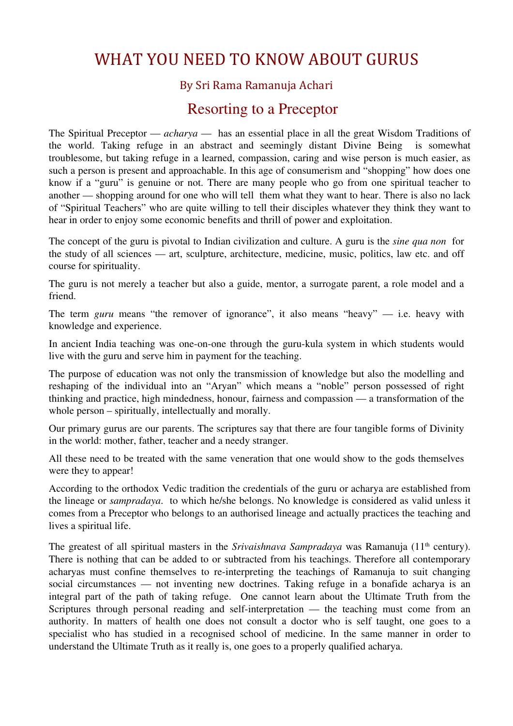# WHAT YOU NEED TO KNOW ABOUT GURUS

## By Sri Rama Ramanuja Achari

# Resorting to a Preceptor

The Spiritual Preceptor — *acharya* — has an essential place in all the great Wisdom Traditions of the world. Taking refuge in an abstract and seemingly distant Divine Being is somewhat troublesome, but taking refuge in a learned, compassion, caring and wise person is much easier, as such a person is present and approachable. In this age of consumerism and "shopping" how does one know if a "guru" is genuine or not. There are many people who go from one spiritual teacher to another — shopping around for one who will tell them what they want to hear. There is also no lack of "Spiritual Teachers" who are quite willing to tell their disciples whatever they think they want to hear in order to enjoy some economic benefits and thrill of power and exploitation.

The concept of the guru is pivotal to Indian civilization and culture. A guru is the *sine qua non* for the study of all sciences — art, sculpture, architecture, medicine, music, politics, law etc. and off course for spirituality.

The guru is not merely a teacher but also a guide, mentor, a surrogate parent, a role model and a friend.

The term *guru* means "the remover of ignorance", it also means "heavy" — i.e. heavy with knowledge and experience.

In ancient India teaching was one-on-one through the guru-kula system in which students would live with the guru and serve him in payment for the teaching.

The purpose of education was not only the transmission of knowledge but also the modelling and reshaping of the individual into an "Aryan" which means a "noble" person possessed of right thinking and practice, high mindedness, honour, fairness and compassion — a transformation of the whole person – spiritually, intellectually and morally.

Our primary gurus are our parents. The scriptures say that there are four tangible forms of Divinity in the world: mother, father, teacher and a needy stranger.

All these need to be treated with the same veneration that one would show to the gods themselves were they to appear!

According to the orthodox Vedic tradition the credentials of the guru or acharya are established from the lineage or *sampradaya*. to which he/she belongs. No knowledge is considered as valid unless it comes from a Preceptor who belongs to an authorised lineage and actually practices the teaching and lives a spiritual life.

The greatest of all spiritual masters in the *Srivaishnava Sampradaya* was Ramanuja (11<sup>th</sup> century). There is nothing that can be added to or subtracted from his teachings. Therefore all contemporary acharyas must confine themselves to re-interpreting the teachings of Ramanuja to suit changing social circumstances — not inventing new doctrines. Taking refuge in a bonafide acharya is an integral part of the path of taking refuge. One cannot learn about the Ultimate Truth from the Scriptures through personal reading and self-interpretation — the teaching must come from an authority. In matters of health one does not consult a doctor who is self taught, one goes to a specialist who has studied in a recognised school of medicine. In the same manner in order to understand the Ultimate Truth as it really is, one goes to a properly qualified acharya.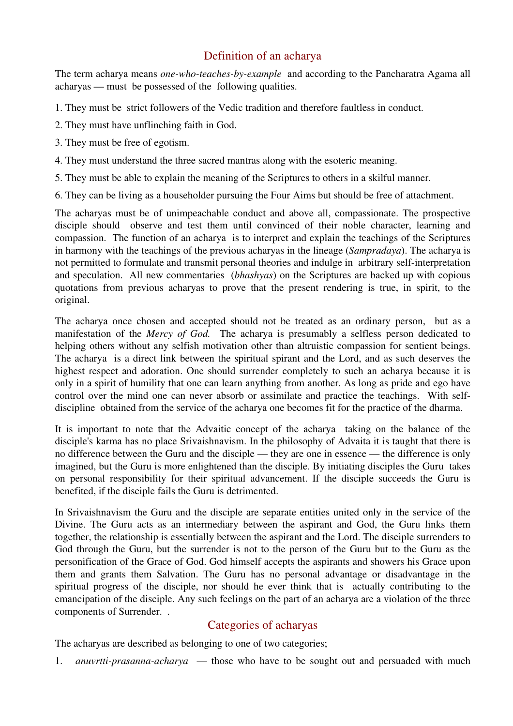## Definition of an acharya

The term acharya means *one-who-teaches-by-example* and according to the Pancharatra Agama all acharyas — must be possessed of the following qualities.

- 1. They must be strict followers of the Vedic tradition and therefore faultless in conduct.
- 2. They must have unflinching faith in God.
- 3. They must be free of egotism.
- 4. They must understand the three sacred mantras along with the esoteric meaning.
- 5. They must be able to explain the meaning of the Scriptures to others in a skilful manner.
- 6. They can be living as a householder pursuing the Four Aims but should be free of attachment.

The acharyas must be of unimpeachable conduct and above all, compassionate. The prospective disciple should observe and test them until convinced of their noble character, learning and compassion. The function of an acharya is to interpret and explain the teachings of the Scriptures in harmony with the teachings of the previous acharyas in the lineage (*Sampradaya*). The acharya is not permitted to formulate and transmit personal theories and indulge in arbitrary self-interpretation and speculation. All new commentaries (*bhashyas*) on the Scriptures are backed up with copious quotations from previous acharyas to prove that the present rendering is true, in spirit, to the original.

The acharya once chosen and accepted should not be treated as an ordinary person, but as a manifestation of the *Mercy of God.* The acharya is presumably a selfless person dedicated to helping others without any selfish motivation other than altruistic compassion for sentient beings. The acharya is a direct link between the spiritual spirant and the Lord, and as such deserves the highest respect and adoration. One should surrender completely to such an acharya because it is only in a spirit of humility that one can learn anything from another. As long as pride and ego have control over the mind one can never absorb or assimilate and practice the teachings. With selfdiscipline obtained from the service of the acharya one becomes fit for the practice of the dharma.

It is important to note that the Advaitic concept of the acharya taking on the balance of the disciple's karma has no place Srivaishnavism. In the philosophy of Advaita it is taught that there is no difference between the Guru and the disciple — they are one in essence — the difference is only imagined, but the Guru is more enlightened than the disciple. By initiating disciples the Guru takes on personal responsibility for their spiritual advancement. If the disciple succeeds the Guru is benefited, if the disciple fails the Guru is detrimented.

In Srivaishnavism the Guru and the disciple are separate entities united only in the service of the Divine. The Guru acts as an intermediary between the aspirant and God, the Guru links them together, the relationship is essentially between the aspirant and the Lord. The disciple surrenders to God through the Guru, but the surrender is not to the person of the Guru but to the Guru as the personification of the Grace of God. God himself accepts the aspirants and showers his Grace upon them and grants them Salvation. The Guru has no personal advantage or disadvantage in the spiritual progress of the disciple, nor should he ever think that is actually contributing to the emancipation of the disciple. Any such feelings on the part of an acharya are a violation of the three components of Surrender. .

## Categories of acharyas

The acharyas are described as belonging to one of two categories;

1. *anuvrtti-prasanna-acharya* — those who have to be sought out and persuaded with much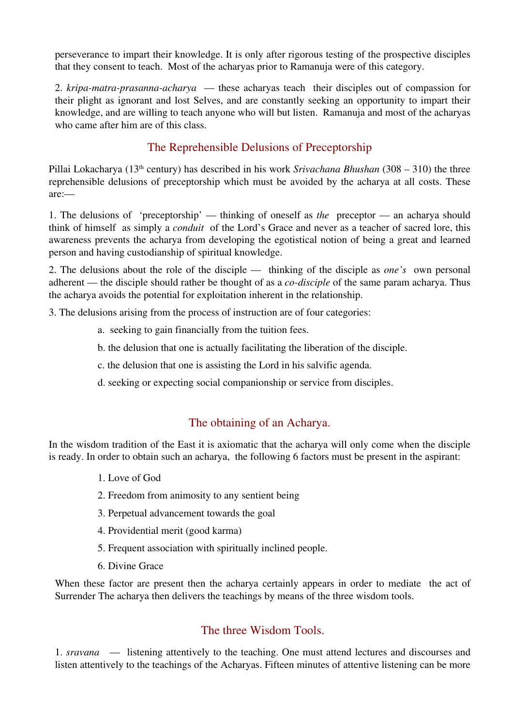perseverance to impart their knowledge. It is only after rigorous testing of the prospective disciples that they consent to teach. Most of the acharyas prior to Ramanuja were of this category.

2. *kripa-matra-prasanna-acharya* — these acharyas teach their disciples out of compassion for their plight as ignorant and lost Selves, and are constantly seeking an opportunity to impart their knowledge, and are willing to teach anyone who will but listen. Ramanuja and most of the acharyas who came after him are of this class.

# The Reprehensible Delusions of Preceptorship

Pillai Lokacharya (13th century) has described in his work *Srivachana Bhushan* (308 – 310) the three reprehensible delusions of preceptorship which must be avoided by the acharya at all costs. These are:—

1. The delusions of 'preceptorship' — thinking of oneself as *the* preceptor — an acharya should think of himself as simply a *conduit* of the Lord's Grace and never as a teacher of sacred lore, this awareness prevents the acharya from developing the egotistical notion of being a great and learned person and having custodianship of spiritual knowledge.

2. The delusions about the role of the disciple — thinking of the disciple as *one's* own personal adherent — the disciple should rather be thought of as a *co-disciple* of the same param acharya. Thus the acharya avoids the potential for exploitation inherent in the relationship.

3. The delusions arising from the process of instruction are of four categories:

- a. seeking to gain financially from the tuition fees.
- b. the delusion that one is actually facilitating the liberation of the disciple.
- c. the delusion that one is assisting the Lord in his salvific agenda.
- d. seeking or expecting social companionship or service from disciples.

#### The obtaining of an Acharya.

In the wisdom tradition of the East it is axiomatic that the acharya will only come when the disciple is ready. In order to obtain such an acharya, the following 6 factors must be present in the aspirant:

- 1. Love of God
- 2. Freedom from animosity to any sentient being
- 3. Perpetual advancement towards the goal
- 4. Providential merit (good karma)
- 5. Frequent association with spiritually inclined people.
- 6. Divine Grace

When these factor are present then the acharya certainly appears in order to mediate the act of Surrender The acharya then delivers the teachings by means of the three wisdom tools.

#### The three Wisdom Tools.

1. *sravana* — listening attentively to the teaching. One must attend lectures and discourses and listen attentively to the teachings of the Acharyas. Fifteen minutes of attentive listening can be more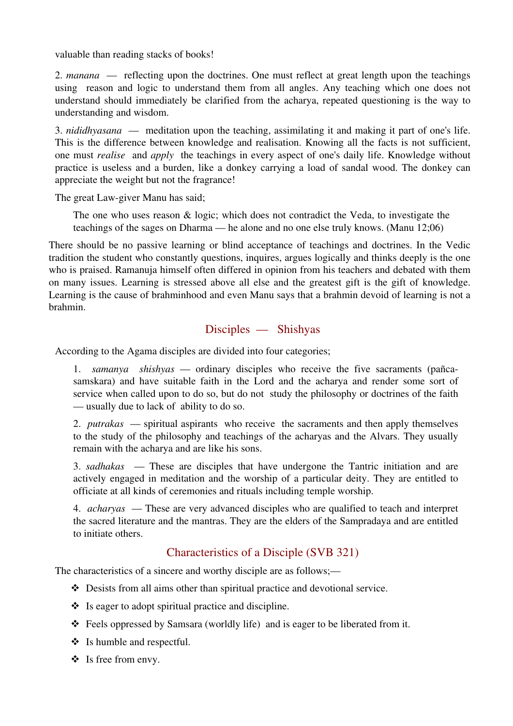valuable than reading stacks of books!

2. *manana* — reflecting upon the doctrines. One must reflect at great length upon the teachings using reason and logic to understand them from all angles. Any teaching which one does not understand should immediately be clarified from the acharya, repeated questioning is the way to understanding and wisdom.

3. *nididhyasana* — meditation upon the teaching, assimilating it and making it part of one's life. This is the difference between knowledge and realisation. Knowing all the facts is not sufficient, one must *realise* and *apply* the teachings in every aspect of one's daily life. Knowledge without practice is useless and a burden, like a donkey carrying a load of sandal wood. The donkey can appreciate the weight but not the fragrance!

The great Law-giver Manu has said;

The one who uses reason  $\&$  logic; which does not contradict the Veda, to investigate the teachings of the sages on Dharma — he alone and no one else truly knows. (Manu 12;06)

There should be no passive learning or blind acceptance of teachings and doctrines. In the Vedic tradition the student who constantly questions, inquires, argues logically and thinks deeply is the one who is praised. Ramanuja himself often differed in opinion from his teachers and debated with them on many issues. Learning is stressed above all else and the greatest gift is the gift of knowledge. Learning is the cause of brahminhood and even Manu says that a brahmin devoid of learning is not a brahmin.

#### Disciples — Shishyas

According to the Agama disciples are divided into four categories;

1. *samanya shishyas* — ordinary disciples who receive the five sacraments (pañcasamskara) and have suitable faith in the Lord and the acharya and render some sort of service when called upon to do so, but do not study the philosophy or doctrines of the faith — usually due to lack of ability to do so.

2. *putrakas* — spiritual aspirants who receive the sacraments and then apply themselves to the study of the philosophy and teachings of the acharyas and the Alvars. They usually remain with the acharya and are like his sons.

3. *sadhakas* — These are disciples that have undergone the Tantric initiation and are actively engaged in meditation and the worship of a particular deity. They are entitled to officiate at all kinds of ceremonies and rituals including temple worship.

4. *acharyas* — These are very advanced disciples who are qualified to teach and interpret the sacred literature and the mantras. They are the elders of the Sampradaya and are entitled to initiate others.

## Characteristics of a Disciple (SVB 321)

The characteristics of a sincere and worthy disciple are as follows;—

- Desists from all aims other than spiritual practice and devotional service.
- $\bullet$  Is eager to adopt spiritual practice and discipline.
- Feels oppressed by Samsara (worldly life) and is eager to be liberated from it.
- $\div$  Is humble and respectful.
- $\div$  Is free from envy.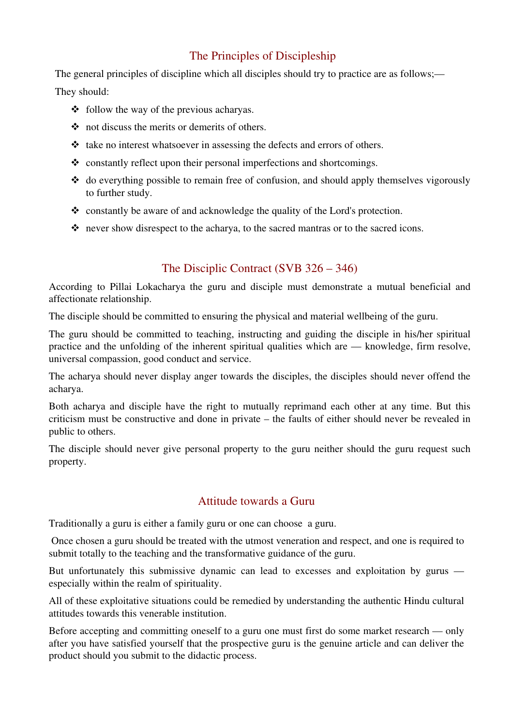# The Principles of Discipleship

The general principles of discipline which all disciples should try to practice are as follows;— They should:

- $\div$  follow the way of the previous acharyas.
- not discuss the merits or demerits of others.
- $\triangleleft$  take no interest whatsoever in assessing the defects and errors of others.
- $\bullet$  constantly reflect upon their personal imperfections and shortcomings.
- $\triangleleft$  do everything possible to remain free of confusion, and should apply themselves vigorously to further study.
- constantly be aware of and acknowledge the quality of the Lord's protection.
- never show disrespect to the acharya, to the sacred mantras or to the sacred icons.

# The Disciplic Contract (SVB 326 – 346)

According to Pillai Lokacharya the guru and disciple must demonstrate a mutual beneficial and affectionate relationship.

The disciple should be committed to ensuring the physical and material wellbeing of the guru.

The guru should be committed to teaching, instructing and guiding the disciple in his/her spiritual practice and the unfolding of the inherent spiritual qualities which are — knowledge, firm resolve, universal compassion, good conduct and service.

The acharya should never display anger towards the disciples, the disciples should never offend the acharya.

Both acharya and disciple have the right to mutually reprimand each other at any time. But this criticism must be constructive and done in private – the faults of either should never be revealed in public to others.

The disciple should never give personal property to the guru neither should the guru request such property.

## Attitude towards a Guru

Traditionally a guru is either a family guru or one can choose a guru.

 Once chosen a guru should be treated with the utmost veneration and respect, and one is required to submit totally to the teaching and the transformative guidance of the guru.

But unfortunately this submissive dynamic can lead to excesses and exploitation by gurus especially within the realm of spirituality.

All of these exploitative situations could be remedied by understanding the authentic Hindu cultural attitudes towards this venerable institution.

Before accepting and committing oneself to a guru one must first do some market research — only after you have satisfied yourself that the prospective guru is the genuine article and can deliver the product should you submit to the didactic process.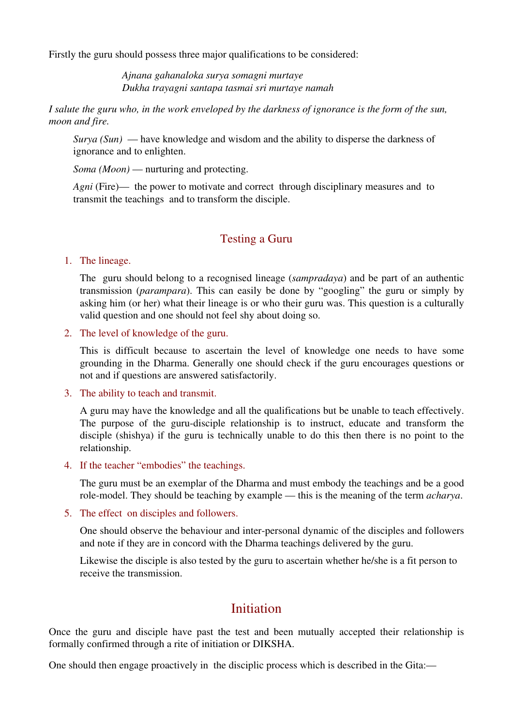Firstly the guru should possess three major qualifications to be considered:

*Ajnana gahanaloka surya somagni murtaye Dukha trayagni santapa tasmai sri murtaye namah*

*I salute the guru who, in the work enveloped by the darkness of ignorance is the form of the sun, moon and fire.*

*Surya (Sun)* — have knowledge and wisdom and the ability to disperse the darkness of ignorance and to enlighten.

*Soma (Moon)* — nurturing and protecting.

*Agni* (Fire)— the power to motivate and correct through disciplinary measures and to transmit the teachings and to transform the disciple.

#### Testing a Guru

#### 1. The lineage.

The guru should belong to a recognised lineage (*sampradaya*) and be part of an authentic transmission (*parampara*). This can easily be done by "googling" the guru or simply by asking him (or her) what their lineage is or who their guru was. This question is a culturally valid question and one should not feel shy about doing so.

2. The level of knowledge of the guru.

This is difficult because to ascertain the level of knowledge one needs to have some grounding in the Dharma. Generally one should check if the guru encourages questions or not and if questions are answered satisfactorily.

3. The ability to teach and transmit.

A guru may have the knowledge and all the qualifications but be unable to teach effectively. The purpose of the guru-disciple relationship is to instruct, educate and transform the disciple (shishya) if the guru is technically unable to do this then there is no point to the relationship.

4. If the teacher "embodies" the teachings.

The guru must be an exemplar of the Dharma and must embody the teachings and be a good role-model. They should be teaching by example — this is the meaning of the term *acharya*.

5. The effect on disciples and followers.

One should observe the behaviour and inter-personal dynamic of the disciples and followers and note if they are in concord with the Dharma teachings delivered by the guru.

Likewise the disciple is also tested by the guru to ascertain whether he/she is a fit person to receive the transmission.

# **Initiation**

Once the guru and disciple have past the test and been mutually accepted their relationship is formally confirmed through a rite of initiation or DIKSHA.

One should then engage proactively in the disciplic process which is described in the Gita:—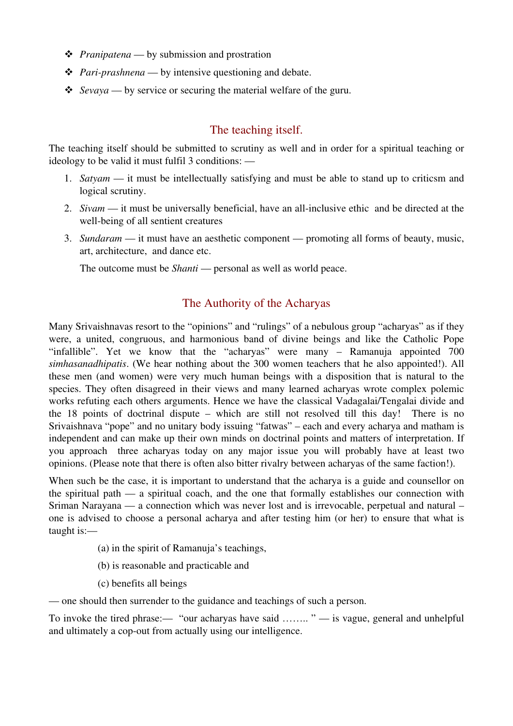- *Pranipatena* by submission and prostration
- *Pari-prashnena* by intensive questioning and debate.
- *Sevaya* by service or securing the material welfare of the guru.

### The teaching itself.

The teaching itself should be submitted to scrutiny as well and in order for a spiritual teaching or ideology to be valid it must fulfil 3 conditions: —

- 1. *Satyam* it must be intellectually satisfying and must be able to stand up to criticsm and logical scrutiny.
- 2. *Sivam* it must be universally beneficial, have an all-inclusive ethic and be directed at the well-being of all sentient creatures
- 3. *Sundaram* it must have an aesthetic component promoting all forms of beauty, music, art, architecture, and dance etc.

The outcome must be *Shanti* — personal as well as world peace.

#### The Authority of the Acharyas

Many Srivaishnavas resort to the "opinions" and "rulings" of a nebulous group "acharyas" as if they were, a united, congruous, and harmonious band of divine beings and like the Catholic Pope "infallible". Yet we know that the "acharyas" were many – Ramanuja appointed 700 *simhasanadhipatis*. (We hear nothing about the 300 women teachers that he also appointed!). All these men (and women) were very much human beings with a disposition that is natural to the species. They often disagreed in their views and many learned acharyas wrote complex polemic works refuting each others arguments. Hence we have the classical Vadagalai/Tengalai divide and the 18 points of doctrinal dispute – which are still not resolved till this day! There is no Srivaishnava "pope" and no unitary body issuing "fatwas" – each and every acharya and matham is independent and can make up their own minds on doctrinal points and matters of interpretation. If you approach three acharyas today on any major issue you will probably have at least two opinions. (Please note that there is often also bitter rivalry between acharyas of the same faction!).

When such be the case, it is important to understand that the acharya is a guide and counsellor on the spiritual path — a spiritual coach, and the one that formally establishes our connection with Sriman Narayana — a connection which was never lost and is irrevocable, perpetual and natural – one is advised to choose a personal acharya and after testing him (or her) to ensure that what is taught is:—

- (a) in the spirit of Ramanuja's teachings,
- (b) is reasonable and practicable and
- (c) benefits all beings

— one should then surrender to the guidance and teachings of such a person.

To invoke the tired phrase:— "our acharyas have said ........" — is vague, general and unhelpful and ultimately a cop-out from actually using our intelligence.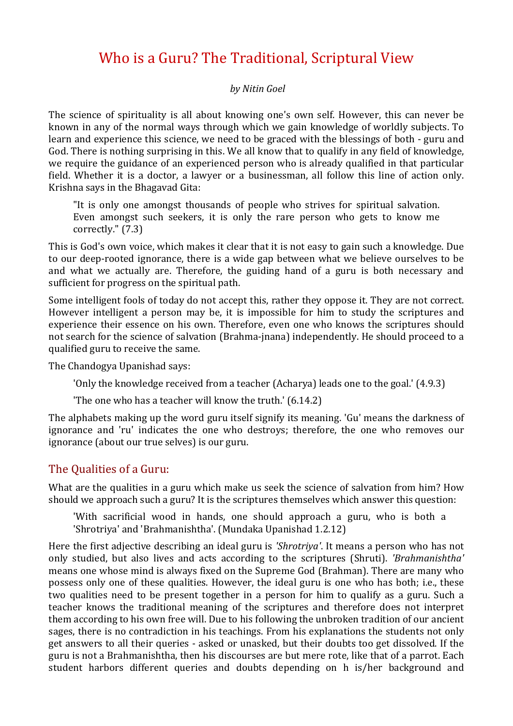# Who is a Guru? The Traditional, Scriptural View

#### *by Nitin Goel*

The science of spirituality is all about knowing one's own self. However, this can never be known in any of the normal ways through which we gain knowledge of worldly subjects. To learn and experience this science, we need to be graced with the blessings of both - guru and God. There is nothing surprising in this. We all know that to qualify in any field of knowledge, we require the guidance of an experienced person who is already qualified in that particular field. Whether it is a doctor, a lawyer or a businessman, all follow this line of action only. Krishna says in the Bhagavad Gita:

"It is only one amongst thousands of people who strives for spiritual salvation. Even amongst such seekers, it is only the rare person who gets to know me correctly." (7.3)

This is God's own voice, which makes it clear that it is not easy to gain such a knowledge. Due to our deep-rooted ignorance, there is a wide gap between what we believe ourselves to be and what we actually are. Therefore, the guiding hand of a guru is both necessary and sufficient for progress on the spiritual path.

Some intelligent fools of today do not accept this, rather they oppose it. They are not correct. However intelligent a person may be, it is impossible for him to study the scriptures and experience their essence on his own. Therefore, even one who knows the scriptures should not search for the science of salvation (Brahma-jnana) independently. He should proceed to a qualified guru to receive the same.

The Chandogya Upanishad says:

'Only the knowledge received from a teacher  $(Acharva)$  leads one to the goal.'  $(4.9.3)$ 

'The one who has a teacher will know the truth.'  $(6.14.2)$ 

The alphabets making up the word guru itself signify its meaning. 'Gu' means the darkness of ignorance and 'ru' indicates the one who destroys; therefore, the one who removes our ignorance (about our true selves) is our guru.

#### The Oualities of a Guru:

What are the qualities in a guru which make us seek the science of salvation from him? How should we approach such a guru? It is the scriptures themselves which answer this question:

'With sacrificial wood in hands, one should approach a guru, who is both a 'Shrotriya' and 'Brahmanishtha'. (Mundaka Upanishad 1.2.12)

Here the first adjective describing an ideal guru is *'Shrotriya'*. It means a person who has not only studied, but also lives and acts according to the scriptures (Shruti). *'Brahmanishtha'* means one whose mind is always fixed on the Supreme God (Brahman). There are many who possess only one of these qualities. However, the ideal guru is one who has both; i.e., these two qualities need to be present together in a person for him to qualify as a guru. Such a teacher knows the traditional meaning of the scriptures and therefore does not interpret them according to his own free will. Due to his following the unbroken tradition of our ancient sages, there is no contradiction in his teachings. From his explanations the students not only get answers to all their queries - asked or unasked, but their doubts too get dissolved. If the guru is not a Brahmanishtha, then his discourses are but mere rote, like that of a parrot. Each student harbors different queries and doubts depending on h is/her background and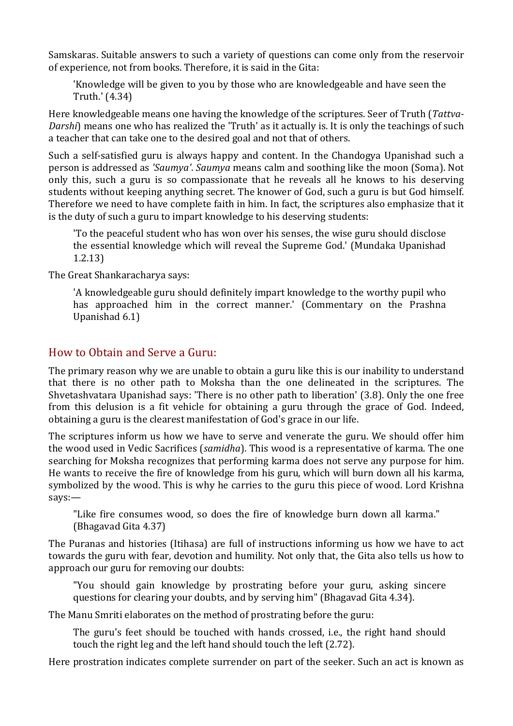Samskaras. Suitable answers to such a variety of questions can come only from the reservoir of experience, not from books. Therefore, it is said in the Gita:

'Knowledge will be given to you by those who are knowledgeable and have seen the Truth.' (4.34)

Here knowledgeable means one having the knowledge of the scriptures. Seer of Truth (Tattva-*Darshi*) means one who has realized the 'Truth' as it actually is. It is only the teachings of such a teacher that can take one to the desired goal and not that of others.

Such a self-satisfied guru is always happy and content. In the Chandogya Upanishad such a person is addressed as '*Saumya'*. *Saumya* means calm and soothing like the moon (Soma). Not only this, such a guru is so compassionate that he reveals all he knows to his deserving students without keeping anything secret. The knower of God, such a guru is but God himself. Therefore we need to have complete faith in him. In fact, the scriptures also emphasize that it is the duty of such a guru to impart knowledge to his deserving students:

'To the peaceful student who has won over his senses, the wise guru should disclose the essential knowledge which will reveal the Supreme God.' (Mundaka Upanishad 1.2.13)

The Great Shankaracharya says:

'A knowledgeable guru should definitely impart knowledge to the worthy pupil who has approached him in the correct manner.' (Commentary on the Prashna Upanishad 6.1)

#### How to Obtain and Serve a Guru:

The primary reason why we are unable to obtain a guru like this is our inability to understand that there is no other path to Moksha than the one delineated in the scriptures. The Shvetashvatara Upanishad says: 'There is no other path to liberation'  $(3.8)$ . Only the one free from this delusion is a fit vehicle for obtaining a guru through the grace of God. Indeed, obtaining a guru is the clearest manifestation of God's grace in our life.

The scriptures inform us how we have to serve and venerate the guru. We should offer him the wood used in Vedic Sacrifices (*samidha*). This wood is a representative of karma. The one searching for Moksha recognizes that performing karma does not serve any purpose for him. He wants to receive the fire of knowledge from his guru, which will burn down all his karma, symbolized by the wood. This is why he carries to the guru this piece of wood. Lord Krishna says:—

"Like fire consumes wood, so does the fire of knowledge burn down all karma." (Bhagavad Gita 4.37)

The Puranas and histories (Itihasa) are full of instructions informing us how we have to act towards the guru with fear, devotion and humility. Not only that, the Gita also tells us how to approach our guru for removing our doubts:

"You should gain knowledge by prostrating before your guru, asking sincere questions for clearing your doubts, and by serving him" (Bhagavad Gita 4.34).

The Manu Smriti elaborates on the method of prostrating before the guru:

The guru's feet should be touched with hands crossed, *i.e.*, the right hand should touch the right leg and the left hand should touch the left (2.72).

Here prostration indicates complete surrender on part of the seeker. Such an act is known as